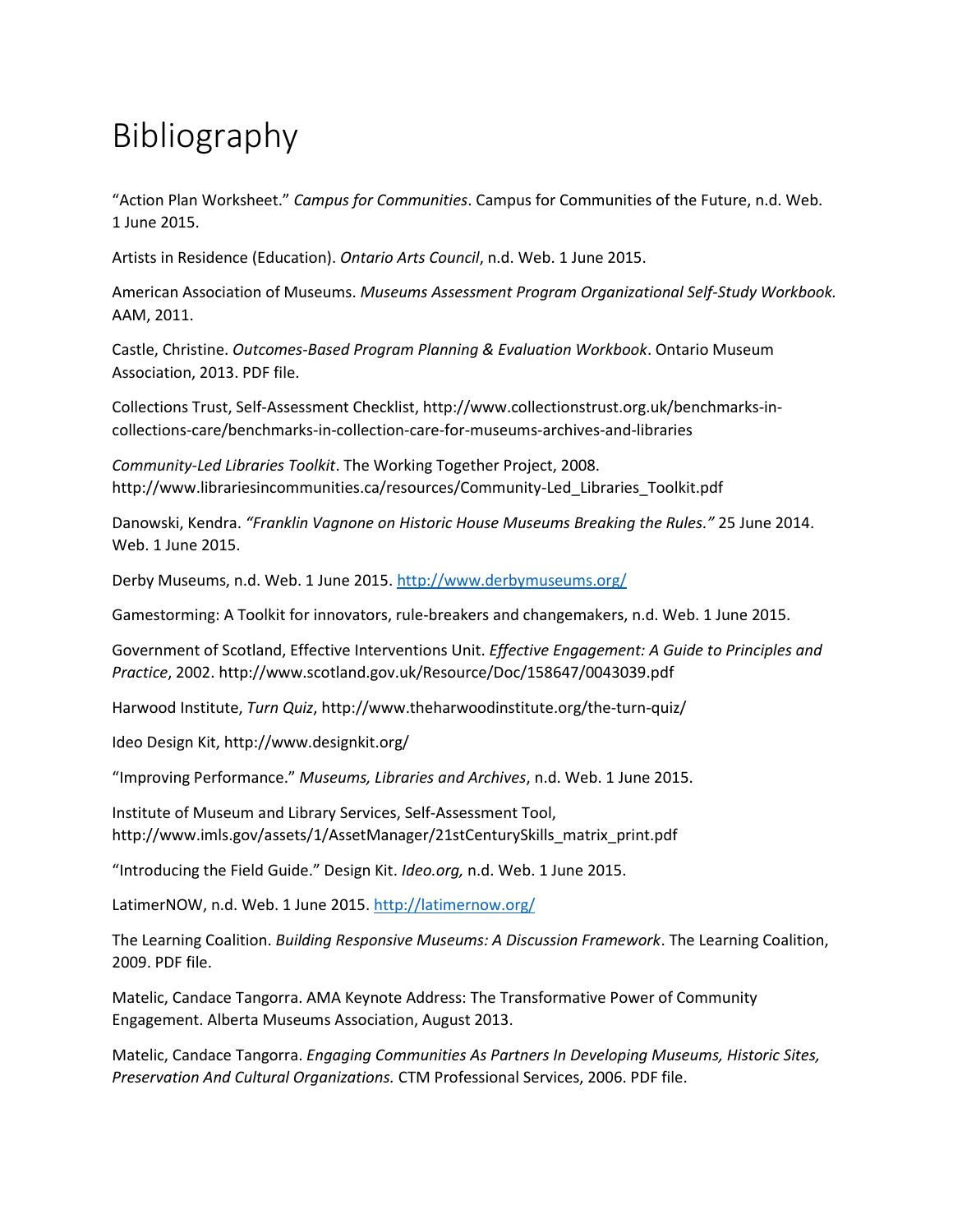## Bibliography

"Action Plan Worksheet." *Campus for Communities*. Campus for Communities of the Future, n.d. Web. 1 June 2015.

Artists in Residence (Education). *Ontario Arts Council*, n.d. Web. 1 June 2015.

American Association of Museums. *Museums Assessment Program Organizational Self-Study Workbook.* AAM, 2011.

Castle, Christine. *Outcomes-Based Program Planning & Evaluation Workbook*. Ontario Museum Association, 2013. PDF file.

Collections Trust, Self-Assessment Checklist, http://www.collectionstrust.org.uk/benchmarks-incollections-care/benchmarks-in-collection-care-for-museums-archives-and-libraries

*Community-Led Libraries Toolkit*. The Working Together Project, 2008. http://www.librariesincommunities.ca/resources/Community-Led\_Libraries\_Toolkit.pdf

Danowski, Kendra. *"Franklin Vagnone on Historic House Museums Breaking the Rules."* 25 June 2014. Web. 1 June 2015.

Derby Museums, n.d. Web. 1 June 2015.<http://www.derbymuseums.org/>

Gamestorming: A Toolkit for innovators, rule-breakers and changemakers, n.d. Web. 1 June 2015.

Government of Scotland, Effective Interventions Unit. *Effective Engagement: A Guide to Principles and Practice*, 2002. http://www.scotland.gov.uk/Resource/Doc/158647/0043039.pdf

Harwood Institute, *Turn Quiz*, http://www.theharwoodinstitute.org/the-turn-quiz/

Ideo Design Kit, http://www.designkit.org/

"Improving Performance." *Museums, Libraries and Archives*, n.d. Web. 1 June 2015.

Institute of Museum and Library Services, Self-Assessment Tool, http://www.imls.gov/assets/1/AssetManager/21stCenturySkills\_matrix\_print.pdf

"Introducing the Field Guide." Design Kit. *Ideo.org,* n.d. Web. 1 June 2015.

LatimerNOW, n.d. Web. 1 June 2015.<http://latimernow.org/>

The Learning Coalition. *Building Responsive Museums: A Discussion Framework*. The Learning Coalition, 2009. PDF file.

Matelic, Candace Tangorra. AMA Keynote Address: The Transformative Power of Community Engagement. Alberta Museums Association, August 2013.

Matelic, Candace Tangorra. *Engaging Communities As Partners In Developing Museums, Historic Sites, Preservation And Cultural Organizations.* CTM Professional Services, 2006. PDF file.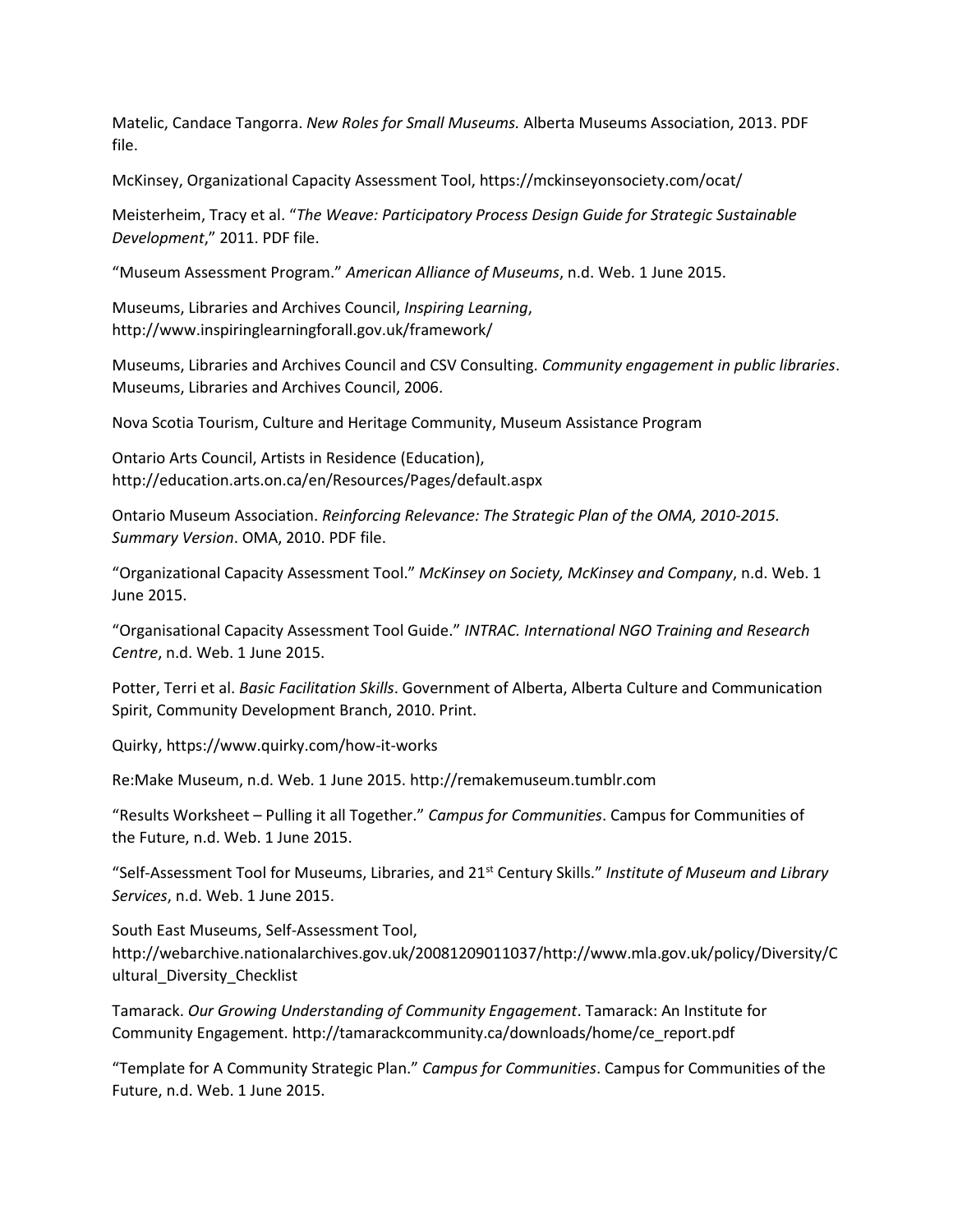Matelic, Candace Tangorra. *New Roles for Small Museums.* Alberta Museums Association, 2013. PDF file.

McKinsey, Organizational Capacity Assessment Tool, https://mckinseyonsociety.com/ocat/

Meisterheim, Tracy et al. "*The Weave: Participatory Process Design Guide for Strategic Sustainable Development*," 2011. PDF file.

"Museum Assessment Program." *American Alliance of Museums*, n.d. Web. 1 June 2015.

Museums, Libraries and Archives Council, *Inspiring Learning*, http://www.inspiringlearningforall.gov.uk/framework/

Museums, Libraries and Archives Council and CSV Consulting. *Community engagement in public libraries*. Museums, Libraries and Archives Council, 2006.

Nova Scotia Tourism, Culture and Heritage Community, Museum Assistance Program

Ontario Arts Council, Artists in Residence (Education), http://education.arts.on.ca/en/Resources/Pages/default.aspx

Ontario Museum Association. *Reinforcing Relevance: The Strategic Plan of the OMA, 2010-2015. Summary Version*. OMA, 2010. PDF file.

"Organizational Capacity Assessment Tool." *McKinsey on Society, McKinsey and Company*, n.d. Web. 1 June 2015.

"Organisational Capacity Assessment Tool Guide." *INTRAC. International NGO Training and Research Centre*, n.d. Web. 1 June 2015.

Potter, Terri et al. *Basic Facilitation Skills*. Government of Alberta, Alberta Culture and Communication Spirit, Community Development Branch, 2010. Print.

Quirky, https://www.quirky.com/how-it-works

Re:Make Museum, n.d. Web. 1 June 2015. http://remakemuseum.tumblr.com

"Results Worksheet – Pulling it all Together." *Campus for Communities*. Campus for Communities of the Future, n.d. Web. 1 June 2015.

"Self-Assessment Tool for Museums, Libraries, and 21st Century Skills." *Institute of Museum and Library Services*, n.d. Web. 1 June 2015.

South East Museums, Self-Assessment Tool,

http://webarchive.nationalarchives.gov.uk/20081209011037/http://www.mla.gov.uk/policy/Diversity/C ultural\_Diversity\_Checklist

Tamarack. *Our Growing Understanding of Community Engagement*. Tamarack: An Institute for Community Engagement. http://tamarackcommunity.ca/downloads/home/ce\_report.pdf

"Template for A Community Strategic Plan." *Campus for Communities*. Campus for Communities of the Future, n.d. Web. 1 June 2015.